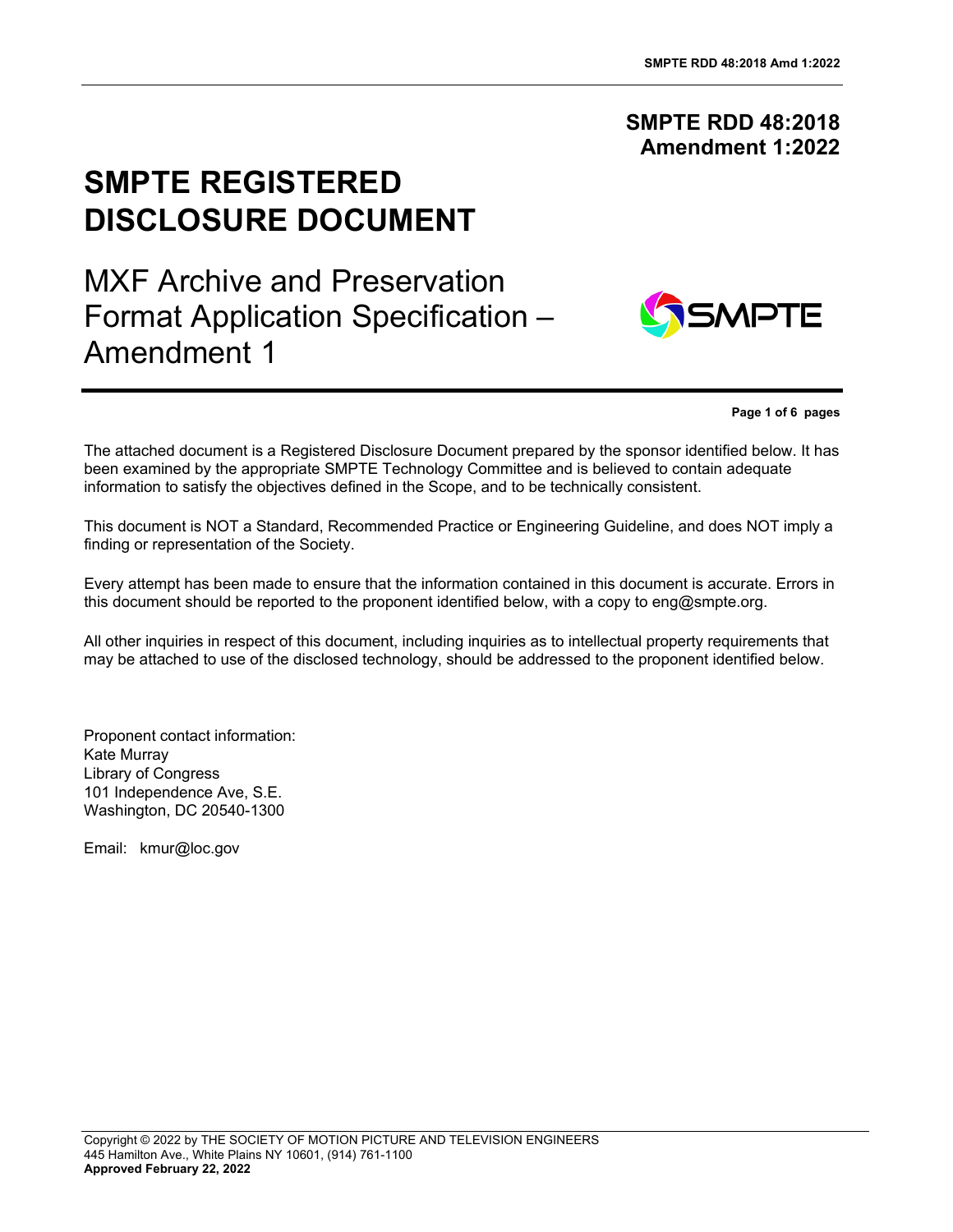## **SMPTE RDD 48:2018 Amendment 1:2022**

# **SMPTE REGISTERED DISCLOSURE DOCUMENT**

MXF Archive and Preservation Format Application Specification – Amendment 1



**Page 1 of 6 pages**

The attached document is a Registered Disclosure Document prepared by the sponsor identified below. It has been examined by the appropriate SMPTE Technology Committee and is believed to contain adequate information to satisfy the objectives defined in the Scope, and to be technically consistent.

This document is NOT a Standard, Recommended Practice or Engineering Guideline, and does NOT imply a finding or representation of the Society.

Every attempt has been made to ensure that the information contained in this document is accurate. Errors in this document should be reported to the proponent identified below, with a copy to eng@smpte.org.

All other inquiries in respect of this document, including inquiries as to intellectual property requirements that may be attached to use of the disclosed technology, should be addressed to the proponent identified below.

Proponent contact information: Kate Murray Library of Congress 101 Independence Ave, S.E. Washington, DC 20540-1300

Email: kmur@loc.gov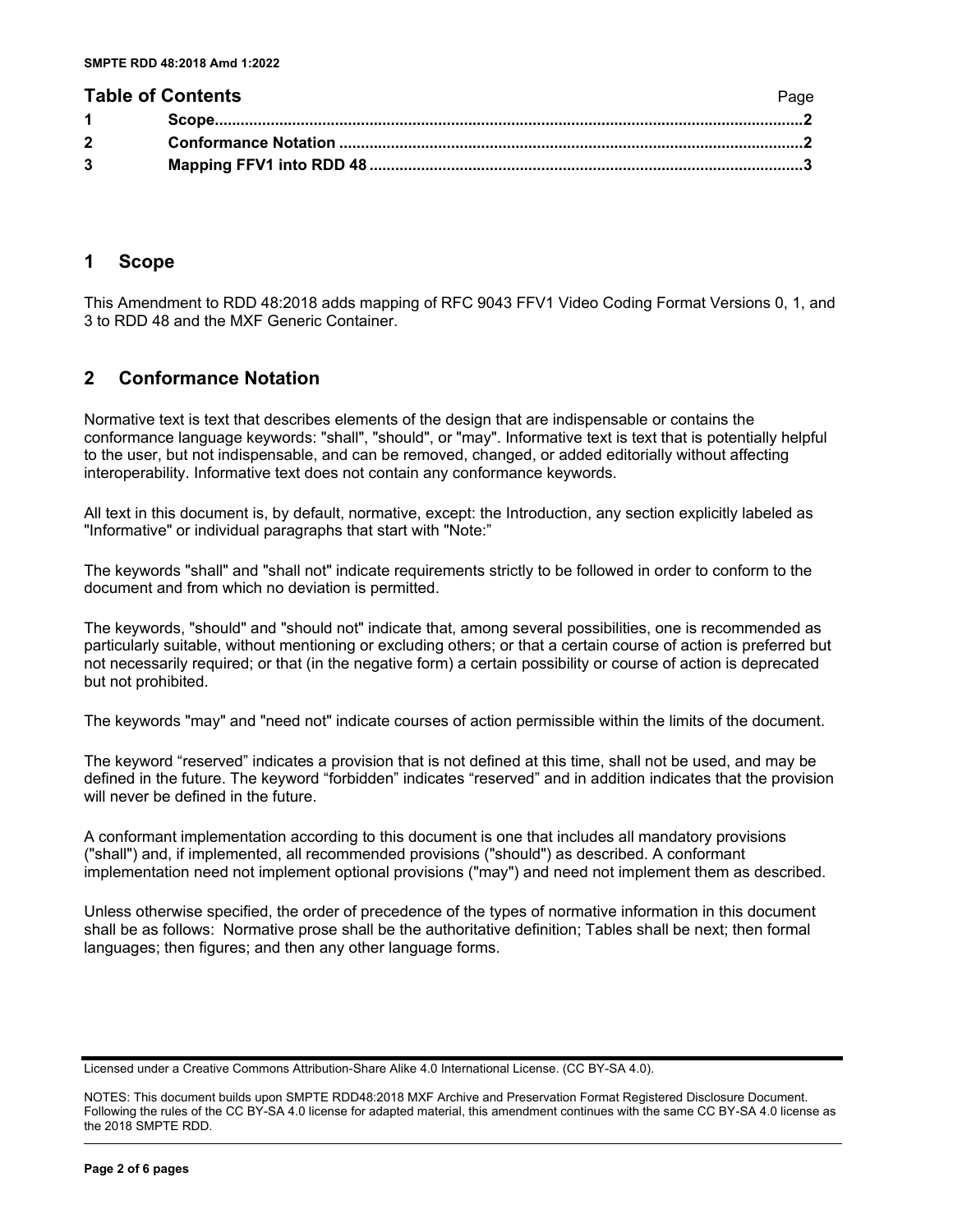#### **Table of Contents** Page **Page 2014**

|             | . |
|-------------|---|
|             |   |
| $2^{\circ}$ |   |
|             |   |
|             |   |

#### <span id="page-1-0"></span>**1 Scope**

This Amendment to RDD 48:2018 adds mapping of RFC 9043 FFV1 Video Coding Format Versions 0, 1, and 3 to RDD 48 and the MXF Generic Container.

### <span id="page-1-1"></span>**2 Conformance Notation**

Normative text is text that describes elements of the design that are indispensable or contains the conformance language keywords: "shall", "should", or "may". Informative text is text that is potentially helpful to the user, but not indispensable, and can be removed, changed, or added editorially without affecting interoperability. Informative text does not contain any conformance keywords.

All text in this document is, by default, normative, except: the Introduction, any section explicitly labeled as "Informative" or individual paragraphs that start with "Note:"

The keywords "shall" and "shall not" indicate requirements strictly to be followed in order to conform to the document and from which no deviation is permitted.

The keywords, "should" and "should not" indicate that, among several possibilities, one is recommended as particularly suitable, without mentioning or excluding others; or that a certain course of action is preferred but not necessarily required; or that (in the negative form) a certain possibility or course of action is deprecated but not prohibited.

The keywords "may" and "need not" indicate courses of action permissible within the limits of the document.

The keyword "reserved" indicates a provision that is not defined at this time, shall not be used, and may be defined in the future. The keyword "forbidden" indicates "reserved" and in addition indicates that the provision will never be defined in the future.

A conformant implementation according to this document is one that includes all mandatory provisions ("shall") and, if implemented, all recommended provisions ("should") as described. A conformant implementation need not implement optional provisions ("may") and need not implement them as described.

Unless otherwise specified, the order of precedence of the types of normative information in this document shall be as follows: Normative prose shall be the authoritative definition; Tables shall be next; then formal languages; then figures; and then any other language forms.

Licensed under a Creative Commons Attribution-Share Alike 4.0 International License. (CC BY-SA 4.0).

NOTES: This document builds upon SMPTE RDD48:2018 MXF Archive and Preservation Format Registered Disclosure Document. Following the rules of the CC BY-SA 4.0 license for adapted material, this amendment continues with the same CC BY-SA 4.0 license as the 2018 SMPTE RDD.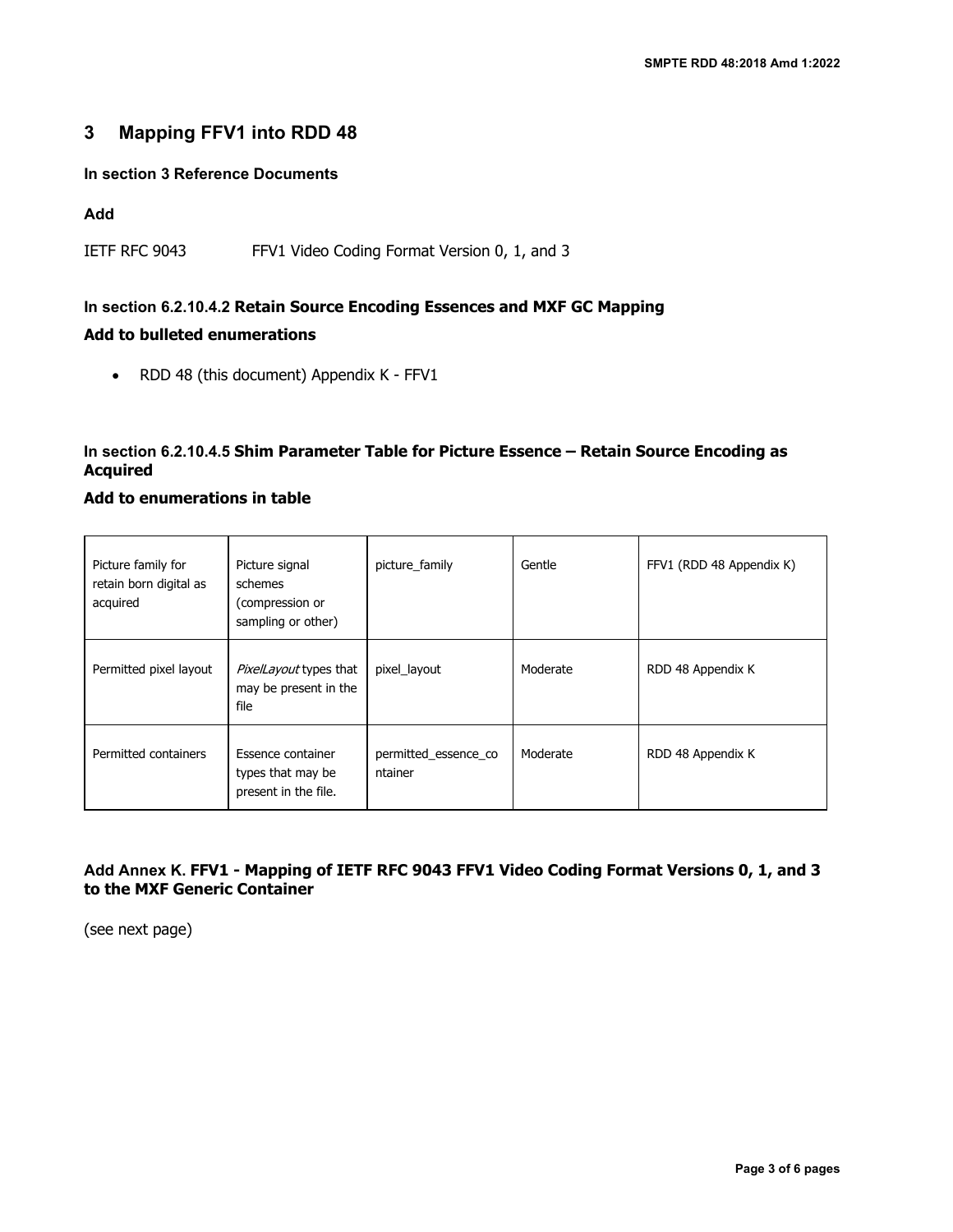## <span id="page-2-0"></span>**3 Mapping FFV1 into RDD 48**

#### **In section 3 Reference Documents**

#### **Add**

IETF RFC 9043 FFV1 Video Coding Format Version 0, 1, and 3

## **In section 6.2.10.4.2 Retain Source Encoding Essences and MXF GC Mapping Add to bulleted enumerations**

• RDD 48 (this document) Appendix K - FFV1

#### **In section 6.2.10.4.5 Shim Parameter Table for Picture Essence – Retain Source Encoding as Acquired**

#### **Add to enumerations in table**

| Picture family for<br>retain born digital as<br>acquired | Picture signal<br>schemes<br>(compression or<br>sampling or other) | picture_family                  | Gentle   | FFV1 (RDD 48 Appendix K) |
|----------------------------------------------------------|--------------------------------------------------------------------|---------------------------------|----------|--------------------------|
| Permitted pixel layout                                   | PixelLayout types that<br>may be present in the<br>file            | pixel_layout                    | Moderate | RDD 48 Appendix K        |
| Permitted containers                                     | Essence container<br>types that may be<br>present in the file.     | permitted_essence_co<br>ntainer | Moderate | RDD 48 Appendix K        |

#### **Add Annex K. FFV1 - Mapping of IETF RFC 9043 FFV1 Video Coding Format Versions 0, 1, and 3 to the MXF Generic Container**

(see next page)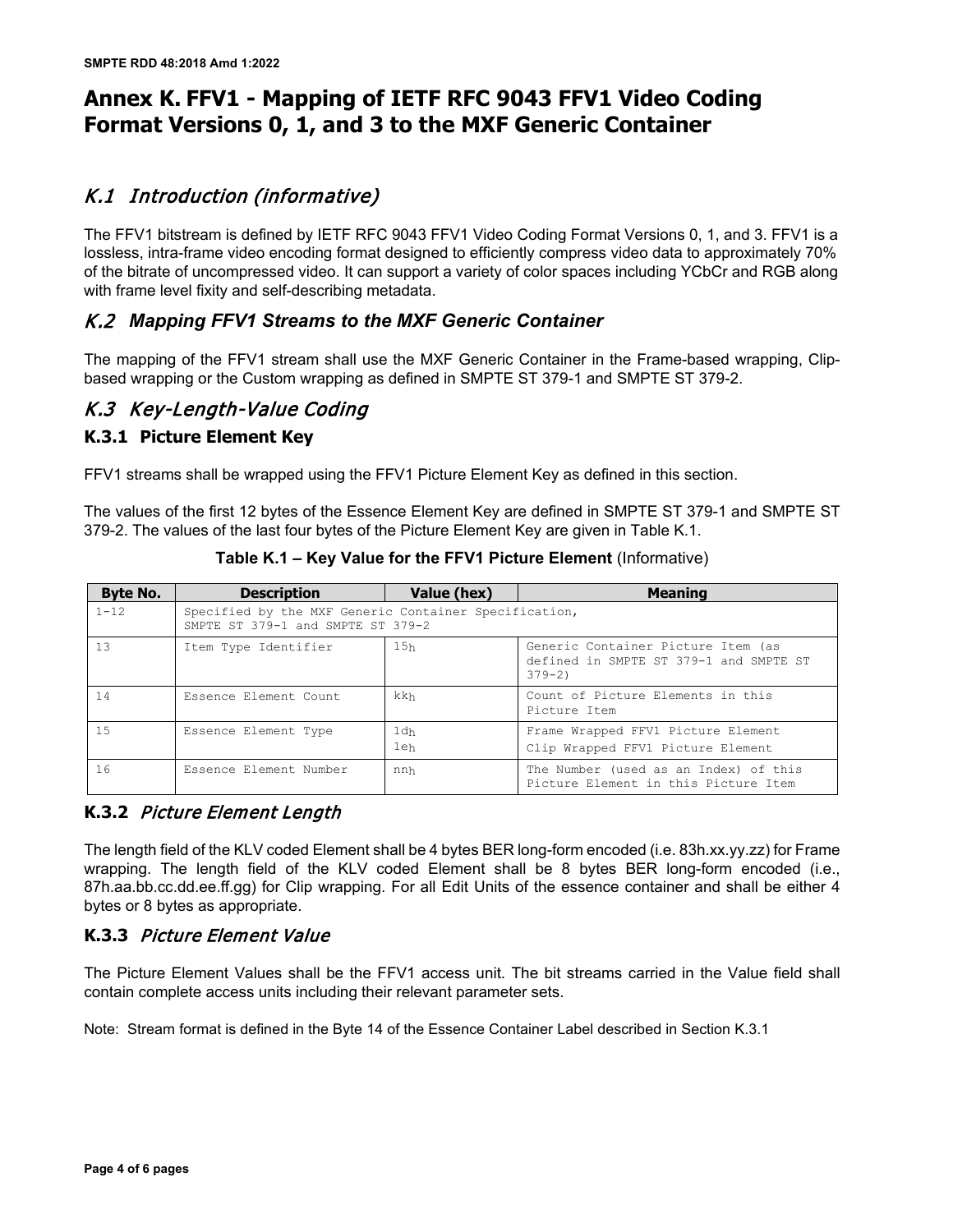## **Annex K. FFV1 - Mapping of IETF RFC 9043 FFV1 Video Coding Format Versions 0, 1, and 3 to the MXF Generic Container**

## K.1 Introduction (informative)

The FFV1 bitstream is defined by IETF RFC 9043 FFV1 Video Coding Format Versions 0, 1, and 3. FFV1 is a lossless, intra-frame video encoding format designed to efficiently compress video data to approximately 70% of the bitrate of uncompressed video. It can support a variety of color spaces including YCbCr and RGB along with frame level fixity and self-describing metadata.

## K.2 *Mapping FFV1 Streams to the MXF Generic Container*

The mapping of the FFV1 stream shall use the MXF Generic Container in the Frame-based wrapping, Clipbased wrapping or the Custom wrapping as defined in SMPTE ST 379-1 and SMPTE ST 379-2.

## K.3 Key-Length-Value Coding

#### **K.3.1 Picture Element Key**

FFV1 streams shall be wrapped using the FFV1 Picture Element Key as defined in this section.

The values of the first 12 bytes of the Essence Element Key are defined in SMPTE ST 379-1 and SMPTE ST 379-2. The values of the last four bytes of the Picture Element Key are given in Table K.1.

| <b>Byte No.</b> | <b>Description</b>                                                                         | Value (hex)            | <b>Meaning</b>                                                                             |  |  |
|-----------------|--------------------------------------------------------------------------------------------|------------------------|--------------------------------------------------------------------------------------------|--|--|
| $1 - 12$        | Specified by the MXF Generic Container Specification,<br>SMPTE ST 379-1 and SMPTE ST 379-2 |                        |                                                                                            |  |  |
| 13              | Item Type Identifier                                                                       | 15h                    | Generic Container Picture Item (as<br>defined in SMPTE ST 379-1 and SMPTE ST<br>$379 - 21$ |  |  |
| 14              | Essence Element Count                                                                      | kkh                    | Count of Picture Elements in this<br>Picture Item                                          |  |  |
| 1.5             | Essence Element Type                                                                       | 1 <sub>dh</sub><br>1eh | Frame Wrapped FFV1 Picture Element<br>Clip Wrapped FFV1 Picture Element                    |  |  |
| 16              | Essence Element Number                                                                     | nnh                    | The Number (used as an Index) of this<br>Picture Element in this Picture Item              |  |  |

**Table K.1 – Key Value for the FFV1 Picture Element** (Informative)

### **K.3.2** Picture Element Length

The length field of the KLV coded Element shall be 4 bytes BER long-form encoded (i.e. 83h.xx.yy.zz) for Frame wrapping. The length field of the KLV coded Element shall be 8 bytes BER long-form encoded (i.e., 87h.aa.bb.cc.dd.ee.ff.gg) for Clip wrapping. For all Edit Units of the essence container and shall be either 4 bytes or 8 bytes as appropriate.

### **K.3.3** Picture Element Value

The Picture Element Values shall be the FFV1 access unit. The bit streams carried in the Value field shall contain complete access units including their relevant parameter sets.

Note: Stream format is defined in the Byte 14 of the Essence Container Label described in Section K.3.1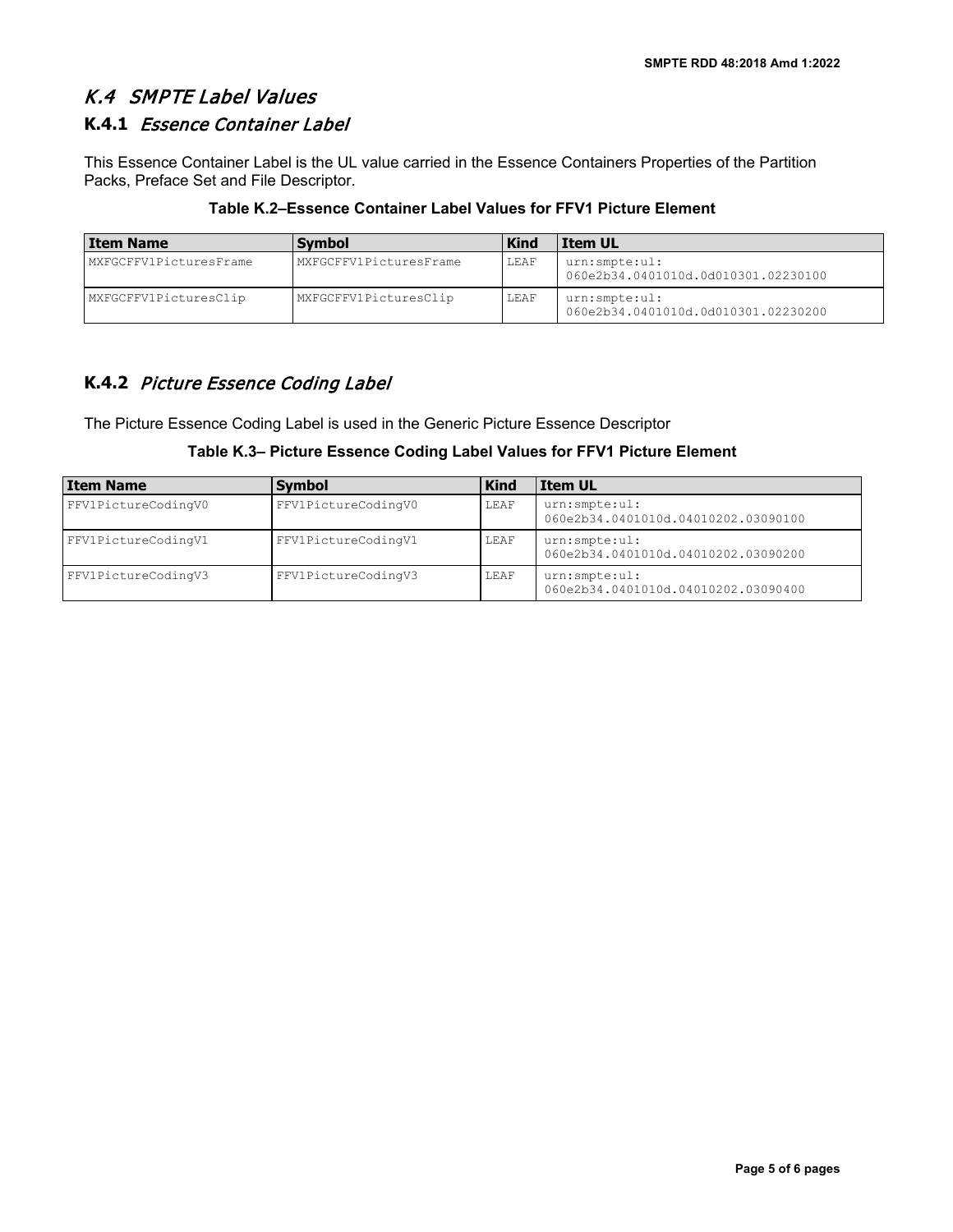## K.4 SMPTE Label Values

## **K.4.1** Essence Container Label

This Essence Container Label is the UL value carried in the Essence Containers Properties of the Partition Packs, Preface Set and File Descriptor.

| Table K.2–Essence Container Label Values for FFV1 Picture Element |  |  |  |
|-------------------------------------------------------------------|--|--|--|
|-------------------------------------------------------------------|--|--|--|

| Item Name              | <b>Symbol</b>          | <b>Kind</b> | <b>Item UL</b>                                       |
|------------------------|------------------------|-------------|------------------------------------------------------|
| MXFGCFFV1PicturesFrame | MXFGCFFV1PicturesFrame | LEAF        | urn:smpte:ul:<br>060e2b34.0401010d.0d010301.02230100 |
| MXFGCFFV1PicturesClip  | MXFGCFFV1PicturesClip  | LEAF        | urn:smpte:ul:<br>060e2b34.0401010d.0d010301.02230200 |

## **K.4.2** Picture Essence Coding Label

The Picture Essence Coding Label is used in the Generic Picture Essence Descriptor

#### **Table K.3– Picture Essence Coding Label Values for FFV1 Picture Element**

| Item Name           | <b>Symbol</b>       | <b>Kind</b> | <b>Item UL</b>                                       |
|---------------------|---------------------|-------------|------------------------------------------------------|
| FFV1PictureCodingV0 | FFV1PictureCodingV0 | LEAF        | urn:smpte:ul:<br>060e2b34.0401010d.04010202.03090100 |
| FFV1PictureCodingV1 | FFV1PictureCodingV1 | LEAF        | urn:smpte:ul:<br>060e2b34.0401010d.04010202.03090200 |
| FFV1PictureCodingV3 | FFV1PictureCodingV3 | LEAF        | urn:smpte:ul:<br>060e2b34.0401010d.04010202.03090400 |